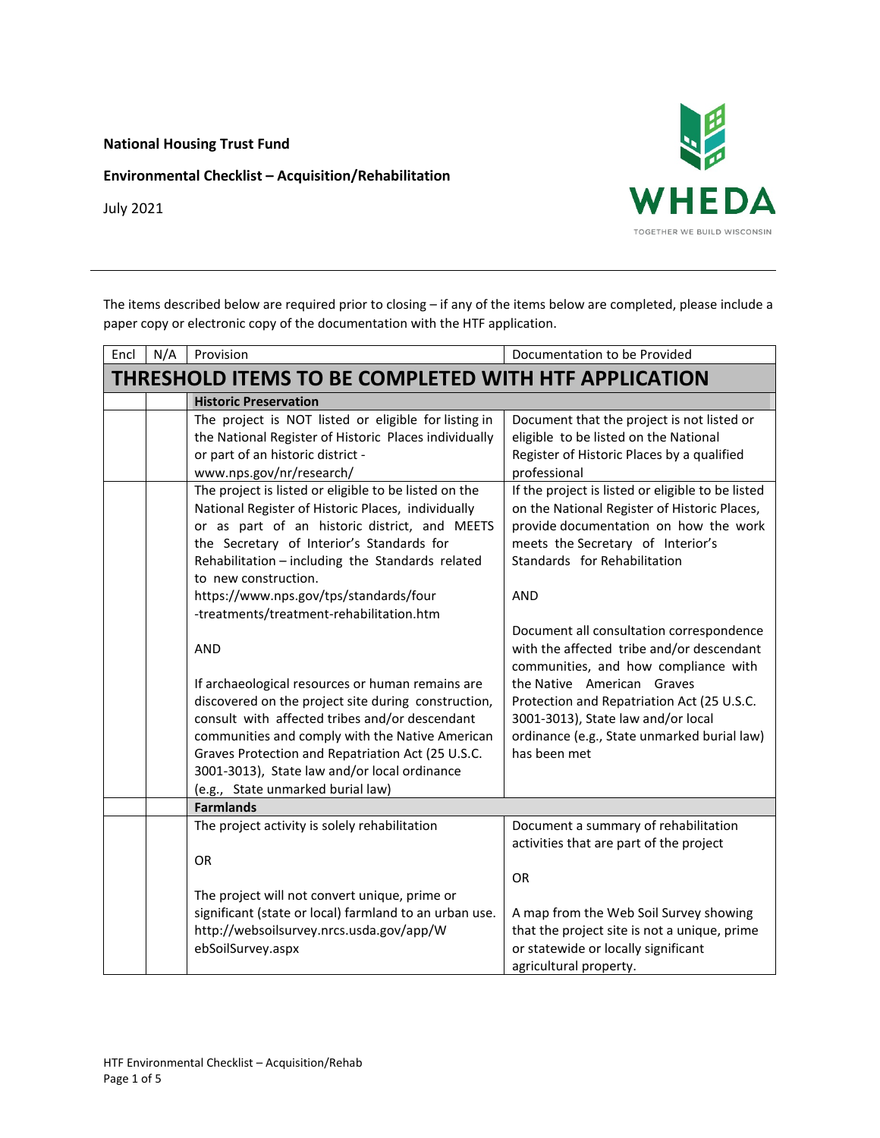**National Housing Trust Fund**

**Environmental Checklist – Acquisition/Rehabilitation**



July 2021

The items described below are required prior to closing – if any of the items below are completed, please include a paper copy or electronic copy of the documentation with the HTF application.

| Encl                                                 | N/A | Provision                                                                                                                                                                                                                                                                                                                                              | Documentation to be Provided                                                                                                                                                                                                  |
|------------------------------------------------------|-----|--------------------------------------------------------------------------------------------------------------------------------------------------------------------------------------------------------------------------------------------------------------------------------------------------------------------------------------------------------|-------------------------------------------------------------------------------------------------------------------------------------------------------------------------------------------------------------------------------|
| THRESHOLD ITEMS TO BE COMPLETED WITH HTF APPLICATION |     |                                                                                                                                                                                                                                                                                                                                                        |                                                                                                                                                                                                                               |
|                                                      |     | <b>Historic Preservation</b>                                                                                                                                                                                                                                                                                                                           |                                                                                                                                                                                                                               |
|                                                      |     | The project is NOT listed or eligible for listing in<br>the National Register of Historic Places individually<br>or part of an historic district -<br>www.nps.gov/nr/research/                                                                                                                                                                         | Document that the project is not listed or<br>eligible to be listed on the National<br>Register of Historic Places by a qualified<br>professional                                                                             |
|                                                      |     | The project is listed or eligible to be listed on the<br>National Register of Historic Places, individually<br>or as part of an historic district, and MEETS<br>the Secretary of Interior's Standards for<br>Rehabilitation - including the Standards related<br>to new construction.                                                                  | If the project is listed or eligible to be listed<br>on the National Register of Historic Places,<br>provide documentation on how the work<br>meets the Secretary of Interior's<br>Standards for Rehabilitation<br><b>AND</b> |
|                                                      |     | https://www.nps.gov/tps/standards/four<br>-treatments/treatment-rehabilitation.htm                                                                                                                                                                                                                                                                     |                                                                                                                                                                                                                               |
|                                                      |     | <b>AND</b>                                                                                                                                                                                                                                                                                                                                             | Document all consultation correspondence<br>with the affected tribe and/or descendant<br>communities, and how compliance with                                                                                                 |
|                                                      |     | If archaeological resources or human remains are<br>discovered on the project site during construction,<br>consult with affected tribes and/or descendant<br>communities and comply with the Native American<br>Graves Protection and Repatriation Act (25 U.S.C.<br>3001-3013), State law and/or local ordinance<br>(e.g., State unmarked burial law) | the Native American Graves<br>Protection and Repatriation Act (25 U.S.C.<br>3001-3013), State law and/or local<br>ordinance (e.g., State unmarked burial law)<br>has been met                                                 |
|                                                      |     | <b>Farmlands</b>                                                                                                                                                                                                                                                                                                                                       |                                                                                                                                                                                                                               |
|                                                      |     | The project activity is solely rehabilitation<br><b>OR</b>                                                                                                                                                                                                                                                                                             | Document a summary of rehabilitation<br>activities that are part of the project<br><b>OR</b>                                                                                                                                  |
|                                                      |     | The project will not convert unique, prime or<br>significant (state or local) farmland to an urban use.<br>http://websoilsurvey.nrcs.usda.gov/app/W<br>ebSoilSurvey.aspx                                                                                                                                                                               | A map from the Web Soil Survey showing<br>that the project site is not a unique, prime<br>or statewide or locally significant<br>agricultural property.                                                                       |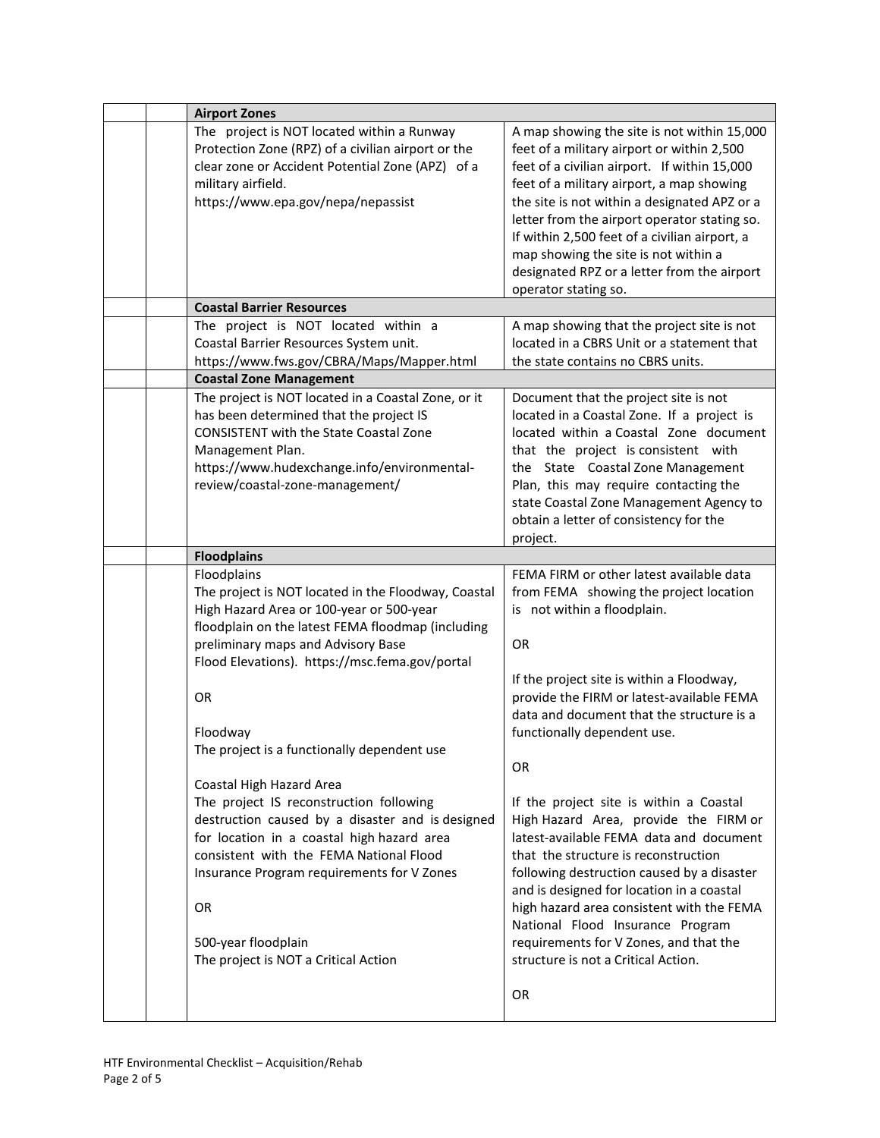|  | <b>Airport Zones</b>                                                                                                                                                                                                                                                                                                                                                                                  |                                                                                                                                                                                                                                                                                                                                                                                                                                                                                                                                 |
|--|-------------------------------------------------------------------------------------------------------------------------------------------------------------------------------------------------------------------------------------------------------------------------------------------------------------------------------------------------------------------------------------------------------|---------------------------------------------------------------------------------------------------------------------------------------------------------------------------------------------------------------------------------------------------------------------------------------------------------------------------------------------------------------------------------------------------------------------------------------------------------------------------------------------------------------------------------|
|  | The project is NOT located within a Runway<br>Protection Zone (RPZ) of a civilian airport or the<br>clear zone or Accident Potential Zone (APZ) of a<br>military airfield.<br>https://www.epa.gov/nepa/nepassist                                                                                                                                                                                      | A map showing the site is not within 15,000<br>feet of a military airport or within 2,500<br>feet of a civilian airport. If within 15,000<br>feet of a military airport, a map showing<br>the site is not within a designated APZ or a<br>letter from the airport operator stating so.<br>If within 2,500 feet of a civilian airport, a<br>map showing the site is not within a<br>designated RPZ or a letter from the airport<br>operator stating so.                                                                          |
|  | <b>Coastal Barrier Resources</b>                                                                                                                                                                                                                                                                                                                                                                      |                                                                                                                                                                                                                                                                                                                                                                                                                                                                                                                                 |
|  | The project is NOT located within a<br>Coastal Barrier Resources System unit.<br>https://www.fws.gov/CBRA/Maps/Mapper.html                                                                                                                                                                                                                                                                            | A map showing that the project site is not<br>located in a CBRS Unit or a statement that<br>the state contains no CBRS units.                                                                                                                                                                                                                                                                                                                                                                                                   |
|  | <b>Coastal Zone Management</b>                                                                                                                                                                                                                                                                                                                                                                        |                                                                                                                                                                                                                                                                                                                                                                                                                                                                                                                                 |
|  | The project is NOT located in a Coastal Zone, or it<br>has been determined that the project IS<br><b>CONSISTENT with the State Coastal Zone</b><br>Management Plan.<br>https://www.hudexchange.info/environmental-<br>review/coastal-zone-management/                                                                                                                                                 | Document that the project site is not<br>located in a Coastal Zone. If a project is<br>located within a Coastal Zone document<br>that the project is consistent with<br>the State Coastal Zone Management<br>Plan, this may require contacting the<br>state Coastal Zone Management Agency to<br>obtain a letter of consistency for the<br>project.                                                                                                                                                                             |
|  | <b>Floodplains</b>                                                                                                                                                                                                                                                                                                                                                                                    |                                                                                                                                                                                                                                                                                                                                                                                                                                                                                                                                 |
|  | Floodplains<br>The project is NOT located in the Floodway, Coastal<br>High Hazard Area or 100-year or 500-year<br>floodplain on the latest FEMA floodmap (including<br>preliminary maps and Advisory Base<br>Flood Elevations). https://msc.fema.gov/portal<br><b>OR</b>                                                                                                                              | FEMA FIRM or other latest available data<br>from FEMA showing the project location<br>is not within a floodplain.<br><b>OR</b><br>If the project site is within a Floodway,<br>provide the FIRM or latest-available FEMA                                                                                                                                                                                                                                                                                                        |
|  | Floodway<br>The project is a functionally dependent use<br>Coastal High Hazard Area<br>The project IS reconstruction following<br>destruction caused by a disaster and is designed<br>for location in a coastal high hazard area<br>consistent with the FEMA National Flood<br>Insurance Program requirements for V Zones<br><b>OR</b><br>500-year floodplain<br>The project is NOT a Critical Action | data and document that the structure is a<br>functionally dependent use.<br><b>OR</b><br>If the project site is within a Coastal<br>High Hazard Area, provide the FIRM or<br>latest-available FEMA data and document<br>that the structure is reconstruction<br>following destruction caused by a disaster<br>and is designed for location in a coastal<br>high hazard area consistent with the FEMA<br>National Flood Insurance Program<br>requirements for V Zones, and that the<br>structure is not a Critical Action.<br>OR |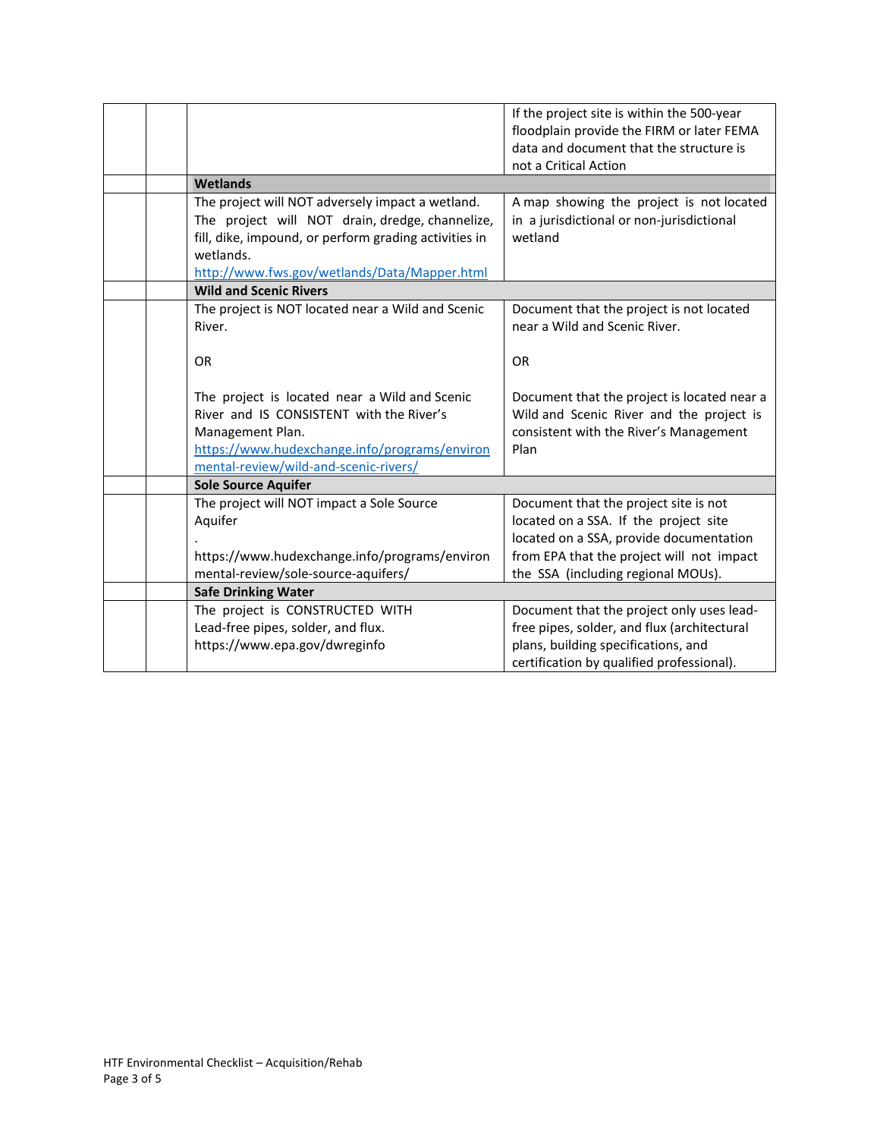|  |                                                                                                                                                                                                         | If the project site is within the 500-year<br>floodplain provide the FIRM or later FEMA<br>data and document that the structure is        |
|--|---------------------------------------------------------------------------------------------------------------------------------------------------------------------------------------------------------|-------------------------------------------------------------------------------------------------------------------------------------------|
|  |                                                                                                                                                                                                         | not a Critical Action                                                                                                                     |
|  | Wetlands                                                                                                                                                                                                |                                                                                                                                           |
|  | The project will NOT adversely impact a wetland.                                                                                                                                                        | A map showing the project is not located                                                                                                  |
|  | The project will NOT drain, dredge, channelize,                                                                                                                                                         | in a jurisdictional or non-jurisdictional                                                                                                 |
|  | fill, dike, impound, or perform grading activities in                                                                                                                                                   | wetland                                                                                                                                   |
|  | wetlands.                                                                                                                                                                                               |                                                                                                                                           |
|  | http://www.fws.gov/wetlands/Data/Mapper.html                                                                                                                                                            |                                                                                                                                           |
|  | <b>Wild and Scenic Rivers</b>                                                                                                                                                                           |                                                                                                                                           |
|  | The project is NOT located near a Wild and Scenic                                                                                                                                                       | Document that the project is not located                                                                                                  |
|  | River.                                                                                                                                                                                                  | near a Wild and Scenic River.                                                                                                             |
|  | <b>OR</b>                                                                                                                                                                                               | <b>OR</b>                                                                                                                                 |
|  | The project is located near a Wild and Scenic<br>River and IS CONSISTENT with the River's<br>Management Plan.<br>https://www.hudexchange.info/programs/environ<br>mental-review/wild-and-scenic-rivers/ | Document that the project is located near a<br>Wild and Scenic River and the project is<br>consistent with the River's Management<br>Plan |
|  | <b>Sole Source Aquifer</b>                                                                                                                                                                              |                                                                                                                                           |
|  | The project will NOT impact a Sole Source                                                                                                                                                               | Document that the project site is not                                                                                                     |
|  | Aquifer                                                                                                                                                                                                 | located on a SSA. If the project site                                                                                                     |
|  |                                                                                                                                                                                                         | located on a SSA, provide documentation                                                                                                   |
|  | https://www.hudexchange.info/programs/environ                                                                                                                                                           | from EPA that the project will not impact                                                                                                 |
|  | mental-review/sole-source-aquifers/                                                                                                                                                                     | the SSA (including regional MOUs).                                                                                                        |
|  | <b>Safe Drinking Water</b>                                                                                                                                                                              |                                                                                                                                           |
|  | The project is CONSTRUCTED WITH                                                                                                                                                                         | Document that the project only uses lead-                                                                                                 |
|  | Lead-free pipes, solder, and flux.                                                                                                                                                                      | free pipes, solder, and flux (architectural                                                                                               |
|  | https://www.epa.gov/dwreginfo                                                                                                                                                                           | plans, building specifications, and                                                                                                       |
|  |                                                                                                                                                                                                         | certification by qualified professional).                                                                                                 |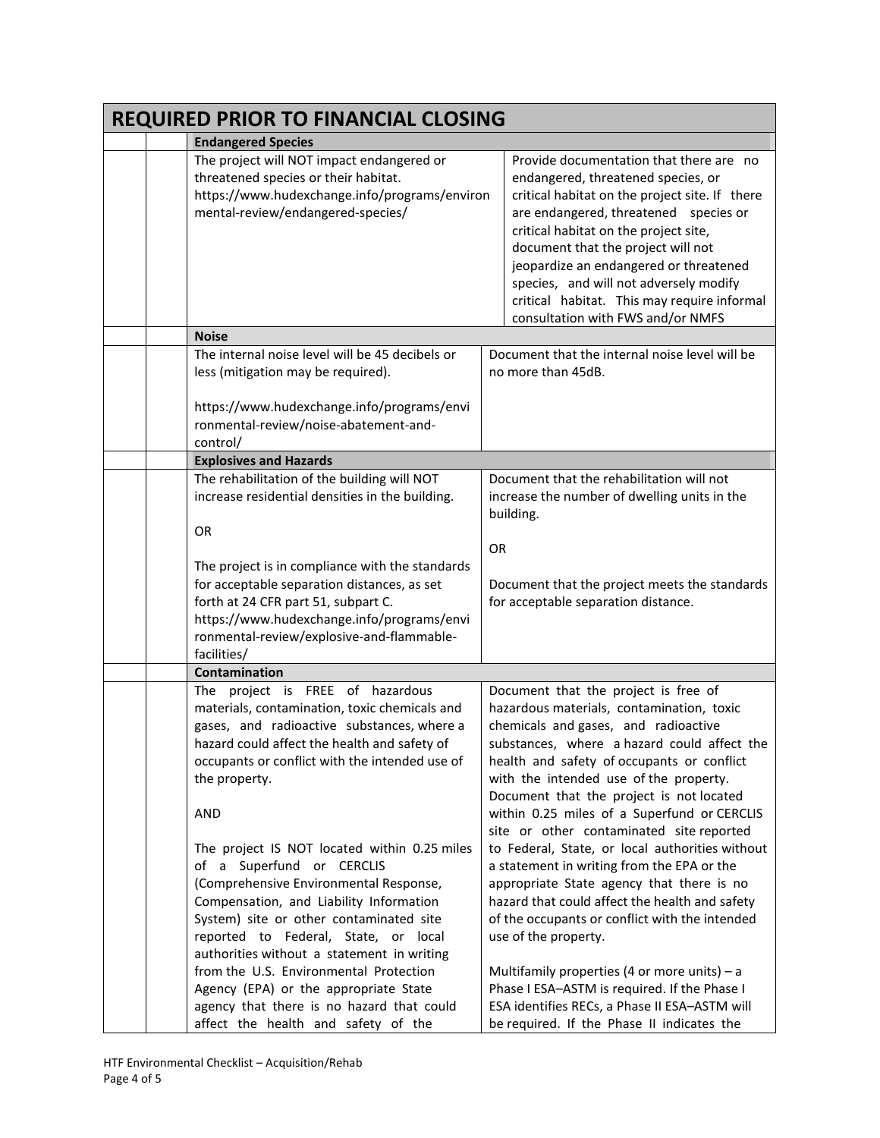| <b>REQUIRED PRIOR TO FINANCIAL CLOSING</b> |                                                                                                                                                                                                                                                                                                                                                                                                                                                                                                                       |                                                                                                                                                                                                                                                                                                                                                                                                                                                                                                                                                                                                                                                                                   |  |  |
|--------------------------------------------|-----------------------------------------------------------------------------------------------------------------------------------------------------------------------------------------------------------------------------------------------------------------------------------------------------------------------------------------------------------------------------------------------------------------------------------------------------------------------------------------------------------------------|-----------------------------------------------------------------------------------------------------------------------------------------------------------------------------------------------------------------------------------------------------------------------------------------------------------------------------------------------------------------------------------------------------------------------------------------------------------------------------------------------------------------------------------------------------------------------------------------------------------------------------------------------------------------------------------|--|--|
| <b>Endangered Species</b>                  |                                                                                                                                                                                                                                                                                                                                                                                                                                                                                                                       |                                                                                                                                                                                                                                                                                                                                                                                                                                                                                                                                                                                                                                                                                   |  |  |
|                                            | The project will NOT impact endangered or<br>threatened species or their habitat.<br>https://www.hudexchange.info/programs/environ<br>mental-review/endangered-species/                                                                                                                                                                                                                                                                                                                                               | Provide documentation that there are no<br>endangered, threatened species, or<br>critical habitat on the project site. If there<br>are endangered, threatened species or<br>critical habitat on the project site,<br>document that the project will not<br>jeopardize an endangered or threatened<br>species, and will not adversely modify<br>critical habitat. This may require informal<br>consultation with FWS and/or NMFS                                                                                                                                                                                                                                                   |  |  |
|                                            | <b>Noise</b>                                                                                                                                                                                                                                                                                                                                                                                                                                                                                                          |                                                                                                                                                                                                                                                                                                                                                                                                                                                                                                                                                                                                                                                                                   |  |  |
|                                            | The internal noise level will be 45 decibels or<br>less (mitigation may be required).<br>https://www.hudexchange.info/programs/envi                                                                                                                                                                                                                                                                                                                                                                                   | Document that the internal noise level will be<br>no more than 45dB.                                                                                                                                                                                                                                                                                                                                                                                                                                                                                                                                                                                                              |  |  |
|                                            | ronmental-review/noise-abatement-and-<br>control/                                                                                                                                                                                                                                                                                                                                                                                                                                                                     |                                                                                                                                                                                                                                                                                                                                                                                                                                                                                                                                                                                                                                                                                   |  |  |
|                                            | <b>Explosives and Hazards</b>                                                                                                                                                                                                                                                                                                                                                                                                                                                                                         |                                                                                                                                                                                                                                                                                                                                                                                                                                                                                                                                                                                                                                                                                   |  |  |
|                                            | The rehabilitation of the building will NOT<br>increase residential densities in the building.<br><b>OR</b>                                                                                                                                                                                                                                                                                                                                                                                                           | Document that the rehabilitation will not<br>increase the number of dwelling units in the<br>building.                                                                                                                                                                                                                                                                                                                                                                                                                                                                                                                                                                            |  |  |
|                                            | The project is in compliance with the standards<br>for acceptable separation distances, as set<br>forth at 24 CFR part 51, subpart C.<br>https://www.hudexchange.info/programs/envi<br>ronmental-review/explosive-and-flammable-<br>facilities/                                                                                                                                                                                                                                                                       | <b>OR</b><br>Document that the project meets the standards<br>for acceptable separation distance.                                                                                                                                                                                                                                                                                                                                                                                                                                                                                                                                                                                 |  |  |
|                                            | Contamination                                                                                                                                                                                                                                                                                                                                                                                                                                                                                                         |                                                                                                                                                                                                                                                                                                                                                                                                                                                                                                                                                                                                                                                                                   |  |  |
|                                            | The project is FREE of hazardous<br>materials, contamination, toxic chemicals and<br>gases, and radioactive substances, where a<br>hazard could affect the health and safety of<br>occupants or conflict with the intended use of<br>the property.<br><b>AND</b><br>The project IS NOT located within 0.25 miles<br>of a Superfund or CERCLIS<br>(Comprehensive Environmental Response,<br>Compensation, and Liability Information<br>System) site or other contaminated site<br>reported to Federal, State, or local | Document that the project is free of<br>hazardous materials, contamination, toxic<br>chemicals and gases, and radioactive<br>substances, where a hazard could affect the<br>health and safety of occupants or conflict<br>with the intended use of the property.<br>Document that the project is not located<br>within 0.25 miles of a Superfund or CERCLIS<br>site or other contaminated site reported<br>to Federal, State, or local authorities without<br>a statement in writing from the EPA or the<br>appropriate State agency that there is no<br>hazard that could affect the health and safety<br>of the occupants or conflict with the intended<br>use of the property. |  |  |
|                                            | authorities without a statement in writing<br>from the U.S. Environmental Protection<br>Agency (EPA) or the appropriate State<br>agency that there is no hazard that could<br>affect the health and safety of the                                                                                                                                                                                                                                                                                                     | Multifamily properties (4 or more units) $- a$<br>Phase I ESA-ASTM is required. If the Phase I<br>ESA identifies RECs, a Phase II ESA-ASTM will<br>be required. If the Phase II indicates the                                                                                                                                                                                                                                                                                                                                                                                                                                                                                     |  |  |